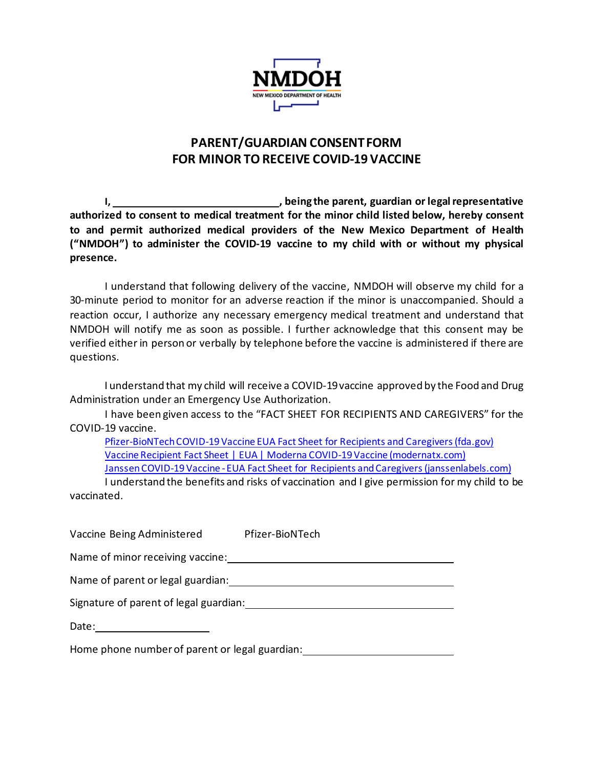

## **PARENT/GUARDIAN CONSENT FORM FOR MINOR TO RECEIVE COVID-19 VACCINE**

**I, , being the parent, guardian or legal representative authorized to consent to medical treatment for the minor child listed below, hereby consent to and permit authorized medical providers of the New Mexico Department of Health ("NMDOH") to administer the COVID-19 vaccine to my child with or without my physical presence.** 

I understand that following delivery of the vaccine, NMDOH will observe my child for a 30-minute period to monitor for an adverse reaction if the minor is unaccompanied. Should a reaction occur, I authorize any necessary emergency medical treatment and understand that NMDOH will notify me as soon as possible. I further acknowledge that this consent may be verified either in person or verbally by telephone before the vaccine is administered if there are questions.

I understand that my child will receive a COVID-19 vaccine approved by the Food and Drug Administration under an Emergency Use Authorization.

I have been given access to the "FACT SHEET FOR RECIPIENTS AND CAREGIVERS" for the COVID-19 vaccine.

[Pfizer-BioNTechCOVID-19 Vaccine EUA Fact Sheet for Recipients and Caregivers \(fda.gov\)](https://www.fda.gov/media/144414/download) [Vaccine Recipient Fact Sheet | EUA | Moderna COVID-19 Vaccine \(modernatx.com\)](https://www.modernatx.com/covid19vaccine-eua/eua-fact-sheet-recipients.pdf) Janssen COVID-19 Vaccine - [EUA Fact Sheet for Recipients and Caregivers \(janssenlabels.com\)](https://www.janssenlabels.com/emergency-use-authorization/Janssen+COVID-19+Vaccine-Recipient-fact-sheet.pdf)

I understand the benefits and risks of vaccination and I give permission for my child to be vaccinated.

Vaccine Being Administered Pfizer-BioNTech

Name of minor receiving vaccine:

Name of parent or legal guardian:

Signature of parent of legal guardian:

Date:

Home phone numberof parent or legal guardian: